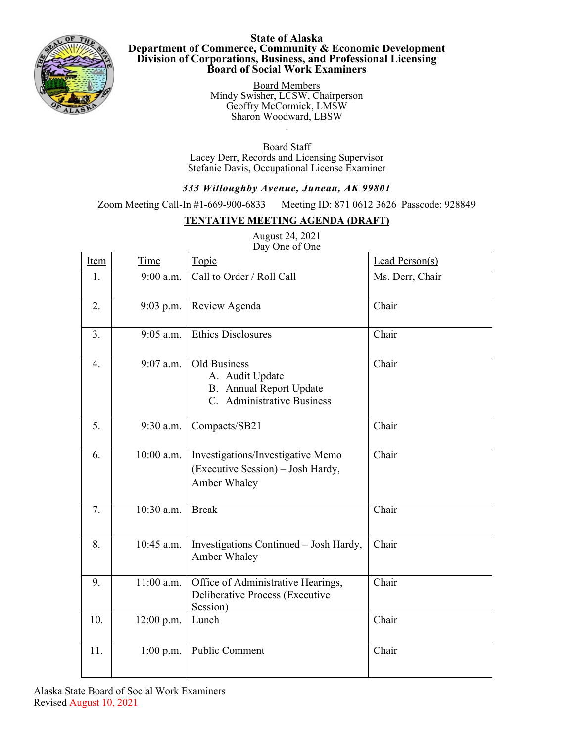

**State of Alaska Department of Commerce, Community & Economic Development Division of Corporations, Business, and Professional Licensing Board of Social Work Examiners**

> Board Members Mindy Swisher, LCSW, Chairperson Geoffry McCormick, LMSW Sharon Woodward, LBSW

Board Staff Lacey Derr, Records and Licensing Supervisor Stefanie Davis, Occupational License Examiner

## *333 Willoughby Avenue, Juneau, AK 99801*

Zoom Meeting Call-In #1-669-900-6833 Meeting ID: 871 0612 3626 Passcode: 928849

## **TENTATIVE MEETING AGENDA (DRAFT)**

August 24, 2021 Day One of One

| Item             | Time         | Topic                                                                                           | Lead Person(s)  |
|------------------|--------------|-------------------------------------------------------------------------------------------------|-----------------|
| 1.               | $9:00$ a.m.  | Call to Order / Roll Call                                                                       | Ms. Derr, Chair |
| 2.               | $9:03$ p.m.  | Review Agenda                                                                                   | Chair           |
| 3.               | 9:05 a.m.    | <b>Ethics Disclosures</b>                                                                       | Chair           |
| $\overline{4}$ . | 9:07 a.m.    | Old Business<br>A. Audit Update<br><b>B.</b> Annual Report Update<br>C. Administrative Business | Chair           |
| 5.               | 9:30 a.m.    | Compacts/SB21                                                                                   | Chair           |
| 6.               | 10:00 a.m.   | Investigations/Investigative Memo<br>(Executive Session) – Josh Hardy,<br>Amber Whaley          | Chair           |
| 7.               | 10:30 a.m.   | <b>Break</b>                                                                                    | Chair           |
| 8.               | 10:45 a.m.   | Investigations Continued - Josh Hardy,<br>Amber Whaley                                          | Chair           |
| 9.               | $11:00$ a.m. | Office of Administrative Hearings,<br>Deliberative Process (Executive<br>Session)               | Chair           |
| 10.              | 12:00 p.m.   | Lunch                                                                                           | Chair           |
| 11.              | $1:00$ p.m.  | <b>Public Comment</b>                                                                           | Chair           |